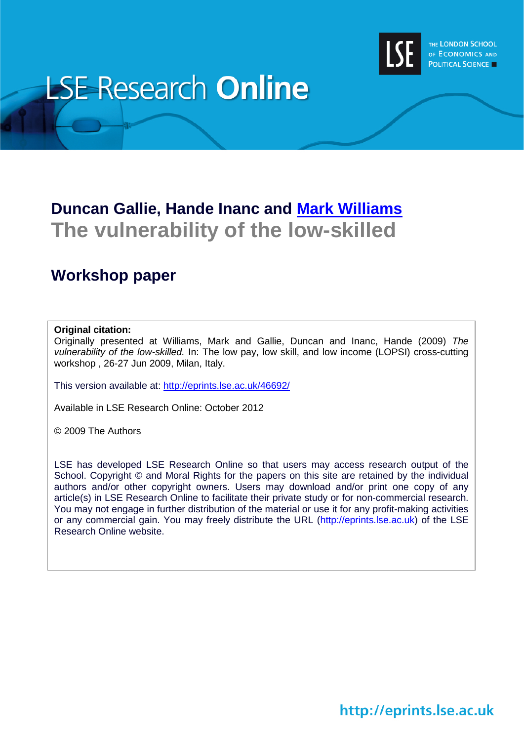

# **LSE Research Online**

# **Duncan Gallie, Hande Inanc and [Mark Williams](http://www2.lse.ac.uk/researchAndExpertise/Experts/profile.aspx?KeyValue=m.t.williams@lse.ac.uk) The vulnerability of the low-skilled**

# **Workshop paper**

#### **Original citation:**

Originally presented at Williams, Mark and Gallie, Duncan and Inanc, Hande (2009) *The vulnerability of the low-skilled.* In: The low pay, low skill, and low income (LOPSI) cross-cutting workshop , 26-27 Jun 2009, Milan, Italy.

This version available at:<http://eprints.lse.ac.uk/46692/>

Available in LSE Research Online: October 2012

© 2009 The Authors

LSE has developed LSE Research Online so that users may access research output of the School. Copyright © and Moral Rights for the papers on this site are retained by the individual authors and/or other copyright owners. Users may download and/or print one copy of any article(s) in LSE Research Online to facilitate their private study or for non-commercial research. You may not engage in further distribution of the material or use it for any profit-making activities or any commercial gain. You may freely distribute the URL (http://eprints.lse.ac.uk) of the LSE Research Online website.

http://eprints.lse.ac.uk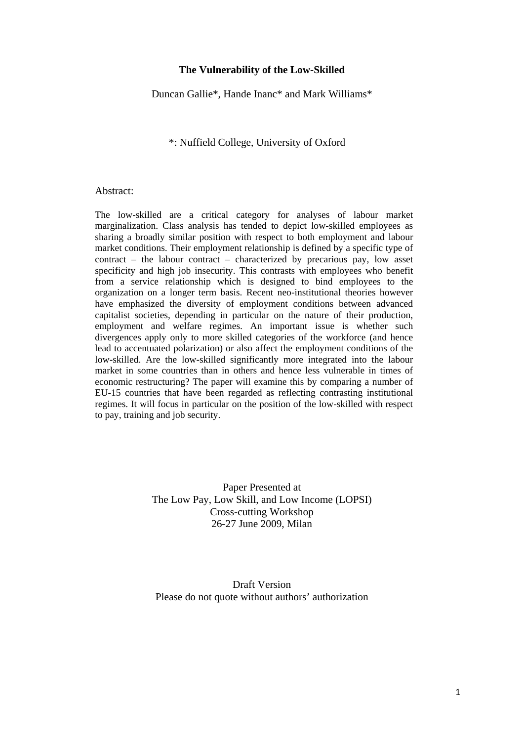#### **The Vulnerability of the Low-Skilled**

Duncan Gallie\*, Hande Inanc\* and Mark Williams\*

#### \*: Nuffield College, University of Oxford

#### Abstract:

The low-skilled are a critical category for analyses of labour market marginalization. Class analysis has tended to depict low-skilled employees as sharing a broadly similar position with respect to both employment and labour market conditions. Their employment relationship is defined by a specific type of contract – the labour contract – characterized by precarious pay, low asset specificity and high job insecurity. This contrasts with employees who benefit from a service relationship which is designed to bind employees to the organization on a longer term basis. Recent neo-institutional theories however have emphasized the diversity of employment conditions between advanced capitalist societies, depending in particular on the nature of their production, employment and welfare regimes. An important issue is whether such divergences apply only to more skilled categories of the workforce (and hence lead to accentuated polarization) or also affect the employment conditions of the low-skilled. Are the low-skilled significantly more integrated into the labour market in some countries than in others and hence less vulnerable in times of economic restructuring? The paper will examine this by comparing a number of EU-15 countries that have been regarded as reflecting contrasting institutional regimes. It will focus in particular on the position of the low-skilled with respect to pay, training and job security.

> Paper Presented at The Low Pay, Low Skill, and Low Income (LOPSI) Cross-cutting Workshop 26-27 June 2009, Milan

Draft Version Please do not quote without authors' authorization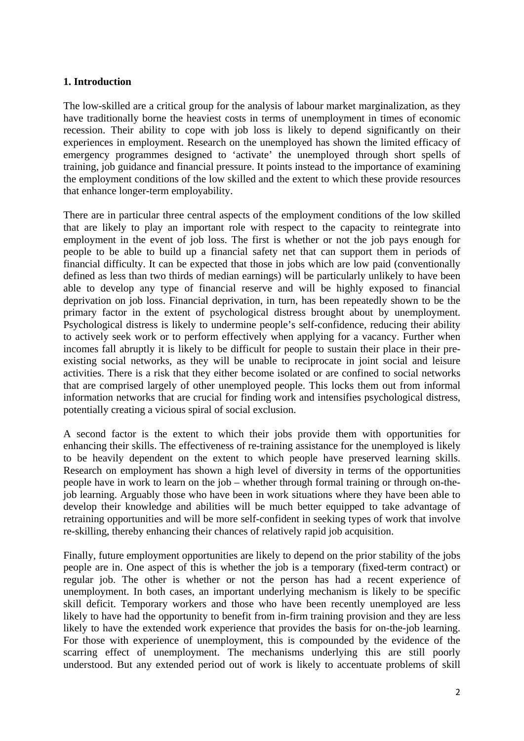#### **1. Introduction**

The low-skilled are a critical group for the analysis of labour market marginalization, as they have traditionally borne the heaviest costs in terms of unemployment in times of economic recession. Their ability to cope with job loss is likely to depend significantly on their experiences in employment. Research on the unemployed has shown the limited efficacy of emergency programmes designed to 'activate' the unemployed through short spells of training, job guidance and financial pressure. It points instead to the importance of examining the employment conditions of the low skilled and the extent to which these provide resources that enhance longer-term employability.

There are in particular three central aspects of the employment conditions of the low skilled that are likely to play an important role with respect to the capacity to reintegrate into employment in the event of job loss. The first is whether or not the job pays enough for people to be able to build up a financial safety net that can support them in periods of financial difficulty. It can be expected that those in jobs which are low paid (conventionally defined as less than two thirds of median earnings) will be particularly unlikely to have been able to develop any type of financial reserve and will be highly exposed to financial deprivation on job loss. Financial deprivation, in turn, has been repeatedly shown to be the primary factor in the extent of psychological distress brought about by unemployment. Psychological distress is likely to undermine people's self-confidence, reducing their ability to actively seek work or to perform effectively when applying for a vacancy. Further when incomes fall abruptly it is likely to be difficult for people to sustain their place in their preexisting social networks, as they will be unable to reciprocate in joint social and leisure activities. There is a risk that they either become isolated or are confined to social networks that are comprised largely of other unemployed people. This locks them out from informal information networks that are crucial for finding work and intensifies psychological distress, potentially creating a vicious spiral of social exclusion.

A second factor is the extent to which their jobs provide them with opportunities for enhancing their skills. The effectiveness of re-training assistance for the unemployed is likely to be heavily dependent on the extent to which people have preserved learning skills. Research on employment has shown a high level of diversity in terms of the opportunities people have in work to learn on the job – whether through formal training or through on-thejob learning. Arguably those who have been in work situations where they have been able to develop their knowledge and abilities will be much better equipped to take advantage of retraining opportunities and will be more self-confident in seeking types of work that involve re-skilling, thereby enhancing their chances of relatively rapid job acquisition.

Finally, future employment opportunities are likely to depend on the prior stability of the jobs people are in. One aspect of this is whether the job is a temporary (fixed-term contract) or regular job. The other is whether or not the person has had a recent experience of unemployment. In both cases, an important underlying mechanism is likely to be specific skill deficit. Temporary workers and those who have been recently unemployed are less likely to have had the opportunity to benefit from in-firm training provision and they are less likely to have the extended work experience that provides the basis for on-the-job learning. For those with experience of unemployment, this is compounded by the evidence of the scarring effect of unemployment. The mechanisms underlying this are still poorly understood. But any extended period out of work is likely to accentuate problems of skill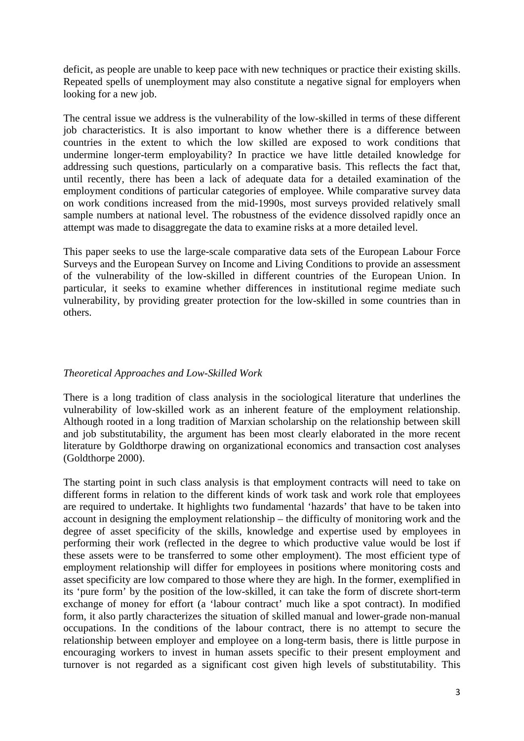deficit, as people are unable to keep pace with new techniques or practice their existing skills. Repeated spells of unemployment may also constitute a negative signal for employers when looking for a new job.

The central issue we address is the vulnerability of the low-skilled in terms of these different job characteristics. It is also important to know whether there is a difference between countries in the extent to which the low skilled are exposed to work conditions that undermine longer-term employability? In practice we have little detailed knowledge for addressing such questions, particularly on a comparative basis. This reflects the fact that, until recently, there has been a lack of adequate data for a detailed examination of the employment conditions of particular categories of employee. While comparative survey data on work conditions increased from the mid-1990s, most surveys provided relatively small sample numbers at national level. The robustness of the evidence dissolved rapidly once an attempt was made to disaggregate the data to examine risks at a more detailed level.

This paper seeks to use the large-scale comparative data sets of the European Labour Force Surveys and the European Survey on Income and Living Conditions to provide an assessment of the vulnerability of the low-skilled in different countries of the European Union. In particular, it seeks to examine whether differences in institutional regime mediate such vulnerability, by providing greater protection for the low-skilled in some countries than in others.

# *Theoretical Approaches and Low-Skilled Work*

There is a long tradition of class analysis in the sociological literature that underlines the vulnerability of low-skilled work as an inherent feature of the employment relationship. Although rooted in a long tradition of Marxian scholarship on the relationship between skill and job substitutability, the argument has been most clearly elaborated in the more recent literature by Goldthorpe drawing on organizational economics and transaction cost analyses (Goldthorpe 2000).

The starting point in such class analysis is that employment contracts will need to take on different forms in relation to the different kinds of work task and work role that employees are required to undertake. It highlights two fundamental 'hazards' that have to be taken into account in designing the employment relationship – the difficulty of monitoring work and the degree of asset specificity of the skills, knowledge and expertise used by employees in performing their work (reflected in the degree to which productive value would be lost if these assets were to be transferred to some other employment). The most efficient type of employment relationship will differ for employees in positions where monitoring costs and asset specificity are low compared to those where they are high. In the former, exemplified in its 'pure form' by the position of the low-skilled, it can take the form of discrete short-term exchange of money for effort (a 'labour contract' much like a spot contract). In modified form, it also partly characterizes the situation of skilled manual and lower-grade non-manual occupations. In the conditions of the labour contract, there is no attempt to secure the relationship between employer and employee on a long-term basis, there is little purpose in encouraging workers to invest in human assets specific to their present employment and turnover is not regarded as a significant cost given high levels of substitutability. This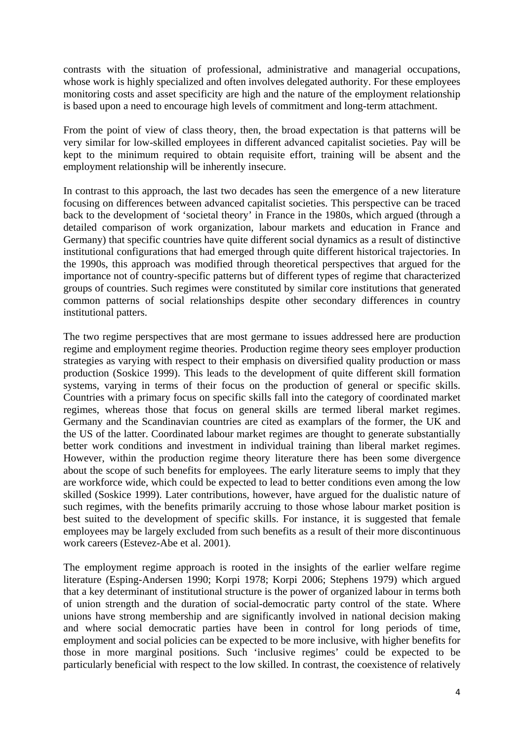contrasts with the situation of professional, administrative and managerial occupations, whose work is highly specialized and often involves delegated authority. For these employees monitoring costs and asset specificity are high and the nature of the employment relationship is based upon a need to encourage high levels of commitment and long-term attachment.

From the point of view of class theory, then, the broad expectation is that patterns will be very similar for low-skilled employees in different advanced capitalist societies. Pay will be kept to the minimum required to obtain requisite effort, training will be absent and the employment relationship will be inherently insecure.

In contrast to this approach, the last two decades has seen the emergence of a new literature focusing on differences between advanced capitalist societies. This perspective can be traced back to the development of 'societal theory' in France in the 1980s, which argued (through a detailed comparison of work organization, labour markets and education in France and Germany) that specific countries have quite different social dynamics as a result of distinctive institutional configurations that had emerged through quite different historical trajectories. In the 1990s, this approach was modified through theoretical perspectives that argued for the importance not of country-specific patterns but of different types of regime that characterized groups of countries. Such regimes were constituted by similar core institutions that generated common patterns of social relationships despite other secondary differences in country institutional patters.

The two regime perspectives that are most germane to issues addressed here are production regime and employment regime theories. Production regime theory sees employer production strategies as varying with respect to their emphasis on diversified quality production or mass production (Soskice 1999). This leads to the development of quite different skill formation systems, varying in terms of their focus on the production of general or specific skills. Countries with a primary focus on specific skills fall into the category of coordinated market regimes, whereas those that focus on general skills are termed liberal market regimes. Germany and the Scandinavian countries are cited as examplars of the former, the UK and the US of the latter. Coordinated labour market regimes are thought to generate substantially better work conditions and investment in individual training than liberal market regimes. However, within the production regime theory literature there has been some divergence about the scope of such benefits for employees. The early literature seems to imply that they are workforce wide, which could be expected to lead to better conditions even among the low skilled (Soskice 1999). Later contributions, however, have argued for the dualistic nature of such regimes, with the benefits primarily accruing to those whose labour market position is best suited to the development of specific skills. For instance, it is suggested that female employees may be largely excluded from such benefits as a result of their more discontinuous work careers (Estevez-Abe et al. 2001).

The employment regime approach is rooted in the insights of the earlier welfare regime literature (Esping-Andersen 1990; Korpi 1978; Korpi 2006; Stephens 1979) which argued that a key determinant of institutional structure is the power of organized labour in terms both of union strength and the duration of social-democratic party control of the state. Where unions have strong membership and are significantly involved in national decision making and where social democratic parties have been in control for long periods of time, employment and social policies can be expected to be more inclusive, with higher benefits for those in more marginal positions. Such 'inclusive regimes' could be expected to be particularly beneficial with respect to the low skilled. In contrast, the coexistence of relatively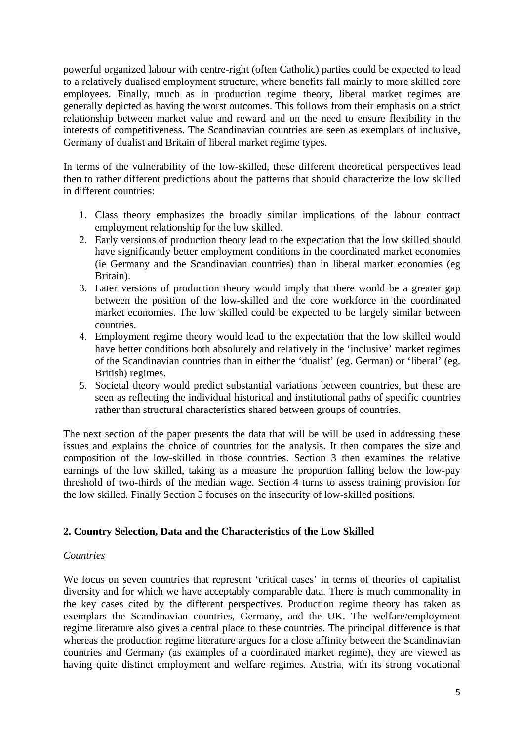powerful organized labour with centre-right (often Catholic) parties could be expected to lead to a relatively dualised employment structure, where benefits fall mainly to more skilled core employees. Finally, much as in production regime theory, liberal market regimes are generally depicted as having the worst outcomes. This follows from their emphasis on a strict relationship between market value and reward and on the need to ensure flexibility in the interests of competitiveness. The Scandinavian countries are seen as exemplars of inclusive, Germany of dualist and Britain of liberal market regime types.

In terms of the vulnerability of the low-skilled, these different theoretical perspectives lead then to rather different predictions about the patterns that should characterize the low skilled in different countries:

- 1. Class theory emphasizes the broadly similar implications of the labour contract employment relationship for the low skilled.
- 2. Early versions of production theory lead to the expectation that the low skilled should have significantly better employment conditions in the coordinated market economies (ie Germany and the Scandinavian countries) than in liberal market economies (eg Britain).
- 3. Later versions of production theory would imply that there would be a greater gap between the position of the low-skilled and the core workforce in the coordinated market economies. The low skilled could be expected to be largely similar between countries.
- 4. Employment regime theory would lead to the expectation that the low skilled would have better conditions both absolutely and relatively in the 'inclusive' market regimes of the Scandinavian countries than in either the 'dualist' (eg. German) or 'liberal' (eg. British) regimes.
- 5. Societal theory would predict substantial variations between countries, but these are seen as reflecting the individual historical and institutional paths of specific countries rather than structural characteristics shared between groups of countries.

The next section of the paper presents the data that will be will be used in addressing these issues and explains the choice of countries for the analysis. It then compares the size and composition of the low-skilled in those countries. Section 3 then examines the relative earnings of the low skilled, taking as a measure the proportion falling below the low-pay threshold of two-thirds of the median wage. Section 4 turns to assess training provision for the low skilled. Finally Section 5 focuses on the insecurity of low-skilled positions.

# **2. Country Selection, Data and the Characteristics of the Low Skilled**

#### *Countries*

We focus on seven countries that represent 'critical cases' in terms of theories of capitalist diversity and for which we have acceptably comparable data. There is much commonality in the key cases cited by the different perspectives. Production regime theory has taken as exemplars the Scandinavian countries, Germany, and the UK. The welfare/employment regime literature also gives a central place to these countries. The principal difference is that whereas the production regime literature argues for a close affinity between the Scandinavian countries and Germany (as examples of a coordinated market regime), they are viewed as having quite distinct employment and welfare regimes. Austria, with its strong vocational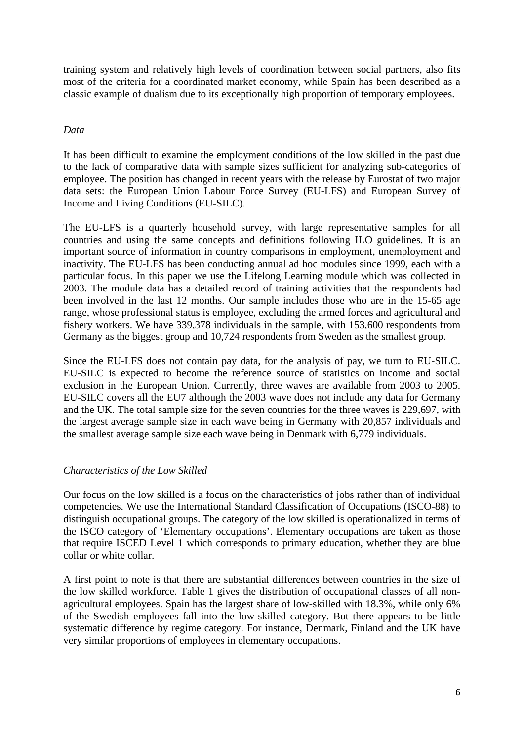training system and relatively high levels of coordination between social partners, also fits most of the criteria for a coordinated market economy, while Spain has been described as a classic example of dualism due to its exceptionally high proportion of temporary employees.

# *Data*

It has been difficult to examine the employment conditions of the low skilled in the past due to the lack of comparative data with sample sizes sufficient for analyzing sub-categories of employee. The position has changed in recent years with the release by Eurostat of two major data sets: the European Union Labour Force Survey (EU-LFS) and European Survey of Income and Living Conditions (EU-SILC).

The EU-LFS is a quarterly household survey, with large representative samples for all countries and using the same concepts and definitions following ILO guidelines. It is an important source of information in country comparisons in employment, unemployment and inactivity. The EU-LFS has been conducting annual ad hoc modules since 1999, each with a particular focus. In this paper we use the Lifelong Learning module which was collected in 2003. The module data has a detailed record of training activities that the respondents had been involved in the last 12 months. Our sample includes those who are in the 15-65 age range, whose professional status is employee, excluding the armed forces and agricultural and fishery workers. We have 339,378 individuals in the sample, with 153,600 respondents from Germany as the biggest group and 10,724 respondents from Sweden as the smallest group.

Since the EU-LFS does not contain pay data, for the analysis of pay, we turn to EU-SILC. EU-SILC is expected to become the reference source of statistics on income and social exclusion in the European Union. Currently, three waves are available from 2003 to 2005. EU-SILC covers all the EU7 although the 2003 wave does not include any data for Germany and the UK. The total sample size for the seven countries for the three waves is 229,697, with the largest average sample size in each wave being in Germany with 20,857 individuals and the smallest average sample size each wave being in Denmark with 6,779 individuals.

# *Characteristics of the Low Skilled*

Our focus on the low skilled is a focus on the characteristics of jobs rather than of individual competencies. We use the International Standard Classification of Occupations (ISCO-88) to distinguish occupational groups. The category of the low skilled is operationalized in terms of the ISCO category of 'Elementary occupations'. Elementary occupations are taken as those that require ISCED Level 1 which corresponds to primary education, whether they are blue collar or white collar.

A first point to note is that there are substantial differences between countries in the size of the low skilled workforce. Table 1 gives the distribution of occupational classes of all nonagricultural employees. Spain has the largest share of low-skilled with 18.3%, while only 6% of the Swedish employees fall into the low-skilled category. But there appears to be little systematic difference by regime category. For instance, Denmark, Finland and the UK have very similar proportions of employees in elementary occupations.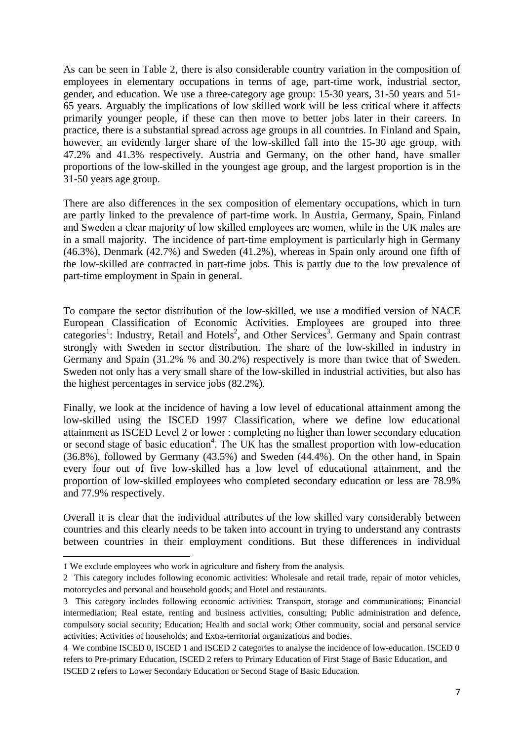As can be seen in Table 2, there is also considerable country variation in the composition of employees in elementary occupations in terms of age, part-time work, industrial sector, gender, and education. We use a three-category age group: 15-30 years, 31-50 years and 51- 65 years. Arguably the implications of low skilled work will be less critical where it affects primarily younger people, if these can then move to better jobs later in their careers. In practice, there is a substantial spread across age groups in all countries. In Finland and Spain, however, an evidently larger share of the low-skilled fall into the 15-30 age group, with 47.2% and 41.3% respectively. Austria and Germany, on the other hand, have smaller proportions of the low-skilled in the youngest age group, and the largest proportion is in the 31-50 years age group.

There are also differences in the sex composition of elementary occupations, which in turn are partly linked to the prevalence of part-time work. In Austria, Germany, Spain, Finland and Sweden a clear majority of low skilled employees are women, while in the UK males are in a small majority. The incidence of part-time employment is particularly high in Germany (46.3%), Denmark (42.7%) and Sweden (41.2%), whereas in Spain only around one fifth of the low-skilled are contracted in part-time jobs. This is partly due to the low prevalence of part-time employment in Spain in general.

To compare the sector distribution of the low-skilled, we use a modified version of NACE European Classification of Economic Activities. Employees are grouped into three categories<sup>1</sup>: Industry, Retail and Hotels<sup>2</sup>, and Other Services<sup>3</sup>. Germany and Spain contrast strongly with Sweden in sector distribution. The share of the low-skilled in industry in Germany and Spain (31.2% % and 30.2%) respectively is more than twice that of Sweden. Sweden not only has a very small share of the low-skilled in industrial activities, but also has the highest percentages in service jobs (82.2%).

Finally, we look at the incidence of having a low level of educational attainment among the low-skilled using the ISCED 1997 Classification, where we define low educational attainment as ISCED Level 2 or lower : completing no higher than lower secondary education or second stage of basic education<sup>4</sup>. The UK has the smallest proportion with low-education (36.8%), followed by Germany (43.5%) and Sweden (44.4%). On the other hand, in Spain every four out of five low-skilled has a low level of educational attainment, and the proportion of low-skilled employees who completed secondary education or less are 78.9% and 77.9% respectively.

Overall it is clear that the individual attributes of the low skilled vary considerably between countries and this clearly needs to be taken into account in trying to understand any contrasts between countries in their employment conditions. But these differences in individual

-

<sup>1</sup> We exclude employees who work in agriculture and fishery from the analysis.

<sup>2</sup> This category includes following economic activities: Wholesale and retail trade, repair of motor vehicles, motorcycles and personal and household goods; and Hotel and restaurants.

<sup>3</sup> This category includes following economic activities: Transport, storage and communications; Financial intermediation; Real estate, renting and business activities, consulting; Public administration and defence, compulsory social security; Education; Health and social work; Other community, social and personal service activities; Activities of households; and Extra-territorial organizations and bodies.

<sup>4</sup> We combine ISCED 0, ISCED 1 and ISCED 2 categories to analyse the incidence of low-education. ISCED 0 refers to Pre-primary Education, ISCED 2 refers to Primary Education of First Stage of Basic Education, and ISCED 2 refers to Lower Secondary Education or Second Stage of Basic Education.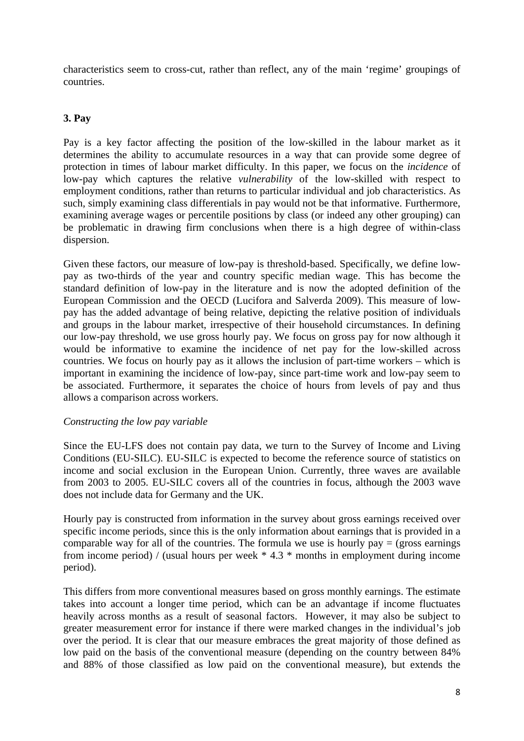characteristics seem to cross-cut, rather than reflect, any of the main 'regime' groupings of countries.

#### **3. Pay**

Pay is a key factor affecting the position of the low-skilled in the labour market as it determines the ability to accumulate resources in a way that can provide some degree of protection in times of labour market difficulty. In this paper, we focus on the *incidence* of low-pay which captures the relative *vulnerability* of the low-skilled with respect to employment conditions, rather than returns to particular individual and job characteristics. As such, simply examining class differentials in pay would not be that informative. Furthermore, examining average wages or percentile positions by class (or indeed any other grouping) can be problematic in drawing firm conclusions when there is a high degree of within-class dispersion.

Given these factors, our measure of low-pay is threshold-based. Specifically, we define lowpay as two-thirds of the year and country specific median wage. This has become the standard definition of low-pay in the literature and is now the adopted definition of the European Commission and the OECD (Lucifora and Salverda 2009). This measure of lowpay has the added advantage of being relative, depicting the relative position of individuals and groups in the labour market, irrespective of their household circumstances. In defining our low-pay threshold, we use gross hourly pay. We focus on gross pay for now although it would be informative to examine the incidence of net pay for the low-skilled across countries. We focus on hourly pay as it allows the inclusion of part-time workers – which is important in examining the incidence of low-pay, since part-time work and low-pay seem to be associated. Furthermore, it separates the choice of hours from levels of pay and thus allows a comparison across workers.

#### *Constructing the low pay variable*

Since the EU-LFS does not contain pay data, we turn to the Survey of Income and Living Conditions (EU-SILC). EU-SILC is expected to become the reference source of statistics on income and social exclusion in the European Union. Currently, three waves are available from 2003 to 2005. EU-SILC covers all of the countries in focus, although the 2003 wave does not include data for Germany and the UK.

Hourly pay is constructed from information in the survey about gross earnings received over specific income periods, since this is the only information about earnings that is provided in a comparable way for all of the countries. The formula we use is hourly  $pay = (gross\ earnings)$ from income period) / (usual hours per week \* 4.3 \* months in employment during income period).

This differs from more conventional measures based on gross monthly earnings. The estimate takes into account a longer time period, which can be an advantage if income fluctuates heavily across months as a result of seasonal factors. However, it may also be subject to greater measurement error for instance if there were marked changes in the individual's job over the period. It is clear that our measure embraces the great majority of those defined as low paid on the basis of the conventional measure (depending on the country between 84% and 88% of those classified as low paid on the conventional measure), but extends the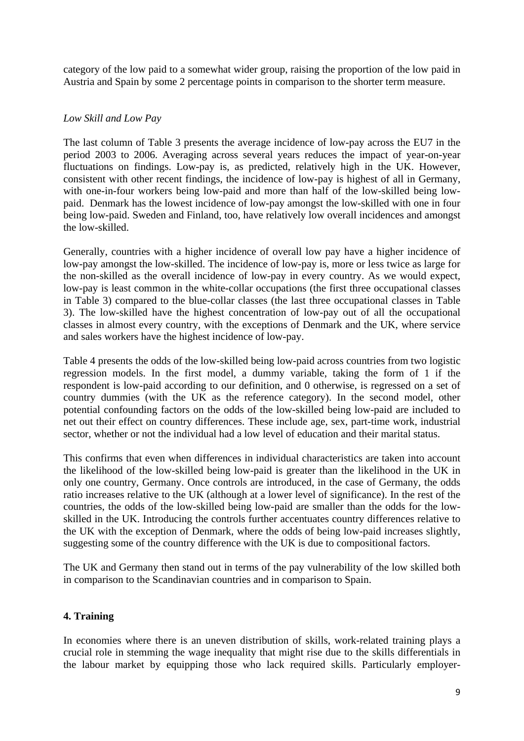category of the low paid to a somewhat wider group, raising the proportion of the low paid in Austria and Spain by some 2 percentage points in comparison to the shorter term measure.

#### *Low Skill and Low Pay*

The last column of Table 3 presents the average incidence of low-pay across the EU7 in the period 2003 to 2006. Averaging across several years reduces the impact of year-on-year fluctuations on findings. Low-pay is, as predicted, relatively high in the UK. However, consistent with other recent findings, the incidence of low-pay is highest of all in Germany, with one-in-four workers being low-paid and more than half of the low-skilled being lowpaid. Denmark has the lowest incidence of low-pay amongst the low-skilled with one in four being low-paid. Sweden and Finland, too, have relatively low overall incidences and amongst the low-skilled.

Generally, countries with a higher incidence of overall low pay have a higher incidence of low-pay amongst the low-skilled. The incidence of low-pay is, more or less twice as large for the non-skilled as the overall incidence of low-pay in every country. As we would expect, low-pay is least common in the white-collar occupations (the first three occupational classes in Table 3) compared to the blue-collar classes (the last three occupational classes in Table 3). The low-skilled have the highest concentration of low-pay out of all the occupational classes in almost every country, with the exceptions of Denmark and the UK, where service and sales workers have the highest incidence of low-pay.

Table 4 presents the odds of the low-skilled being low-paid across countries from two logistic regression models. In the first model, a dummy variable, taking the form of 1 if the respondent is low-paid according to our definition, and 0 otherwise, is regressed on a set of country dummies (with the UK as the reference category). In the second model, other potential confounding factors on the odds of the low-skilled being low-paid are included to net out their effect on country differences. These include age, sex, part-time work, industrial sector, whether or not the individual had a low level of education and their marital status.

This confirms that even when differences in individual characteristics are taken into account the likelihood of the low-skilled being low-paid is greater than the likelihood in the UK in only one country, Germany. Once controls are introduced, in the case of Germany, the odds ratio increases relative to the UK (although at a lower level of significance). In the rest of the countries, the odds of the low-skilled being low-paid are smaller than the odds for the lowskilled in the UK. Introducing the controls further accentuates country differences relative to the UK with the exception of Denmark, where the odds of being low-paid increases slightly, suggesting some of the country difference with the UK is due to compositional factors.

The UK and Germany then stand out in terms of the pay vulnerability of the low skilled both in comparison to the Scandinavian countries and in comparison to Spain.

# **4. Training**

In economies where there is an uneven distribution of skills, work-related training plays a crucial role in stemming the wage inequality that might rise due to the skills differentials in the labour market by equipping those who lack required skills. Particularly employer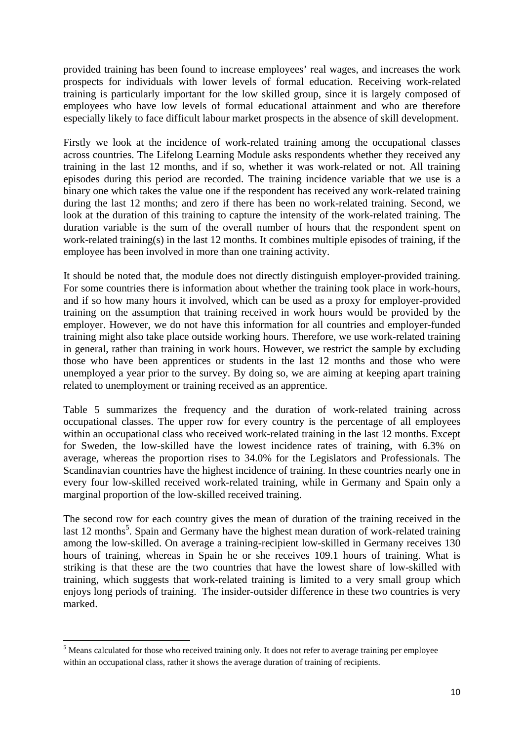provided training has been found to increase employees' real wages, and increases the work prospects for individuals with lower levels of formal education. Receiving work-related training is particularly important for the low skilled group, since it is largely composed of employees who have low levels of formal educational attainment and who are therefore especially likely to face difficult labour market prospects in the absence of skill development.

Firstly we look at the incidence of work-related training among the occupational classes across countries. The Lifelong Learning Module asks respondents whether they received any training in the last 12 months, and if so, whether it was work-related or not. All training episodes during this period are recorded. The training incidence variable that we use is a binary one which takes the value one if the respondent has received any work-related training during the last 12 months; and zero if there has been no work-related training. Second, we look at the duration of this training to capture the intensity of the work-related training. The duration variable is the sum of the overall number of hours that the respondent spent on work-related training(s) in the last 12 months. It combines multiple episodes of training, if the employee has been involved in more than one training activity.

It should be noted that, the module does not directly distinguish employer-provided training. For some countries there is information about whether the training took place in work-hours, and if so how many hours it involved, which can be used as a proxy for employer-provided training on the assumption that training received in work hours would be provided by the employer. However, we do not have this information for all countries and employer-funded training might also take place outside working hours. Therefore, we use work-related training in general, rather than training in work hours. However, we restrict the sample by excluding those who have been apprentices or students in the last 12 months and those who were unemployed a year prior to the survey. By doing so, we are aiming at keeping apart training related to unemployment or training received as an apprentice.

Table 5 summarizes the frequency and the duration of work-related training across occupational classes. The upper row for every country is the percentage of all employees within an occupational class who received work-related training in the last 12 months. Except for Sweden, the low-skilled have the lowest incidence rates of training, with 6.3% on average, whereas the proportion rises to 34.0% for the Legislators and Professionals. The Scandinavian countries have the highest incidence of training. In these countries nearly one in every four low-skilled received work-related training, while in Germany and Spain only a marginal proportion of the low-skilled received training.

The second row for each country gives the mean of duration of the training received in the last 12 months<sup>5</sup>. Spain and Germany have the highest mean duration of work-related training among the low-skilled. On average a training-recipient low-skilled in Germany receives 130 hours of training, whereas in Spain he or she receives 109.1 hours of training. What is striking is that these are the two countries that have the lowest share of low-skilled with training, which suggests that work-related training is limited to a very small group which enjoys long periods of training. The insider-outsider difference in these two countries is very marked.

<u>.</u>

<sup>&</sup>lt;sup>5</sup> Means calculated for those who received training only. It does not refer to average training per employee within an occupational class, rather it shows the average duration of training of recipients.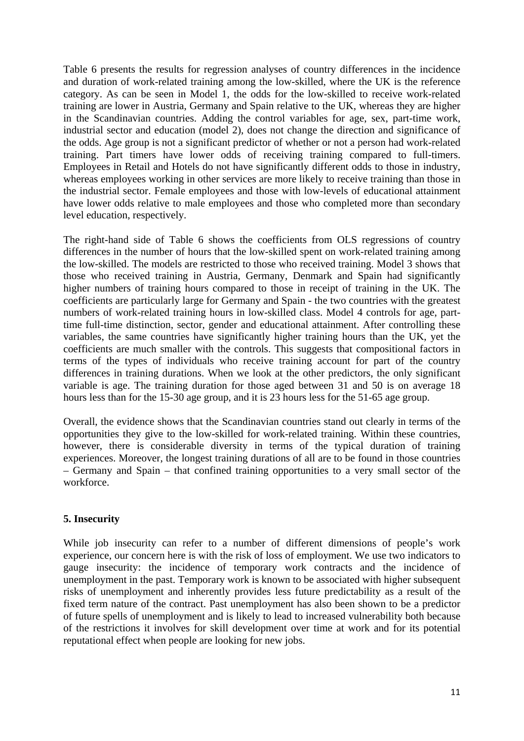Table 6 presents the results for regression analyses of country differences in the incidence and duration of work-related training among the low-skilled, where the UK is the reference category. As can be seen in Model 1, the odds for the low-skilled to receive work-related training are lower in Austria, Germany and Spain relative to the UK, whereas they are higher in the Scandinavian countries. Adding the control variables for age, sex, part-time work, industrial sector and education (model 2), does not change the direction and significance of the odds. Age group is not a significant predictor of whether or not a person had work-related training. Part timers have lower odds of receiving training compared to full-timers. Employees in Retail and Hotels do not have significantly different odds to those in industry, whereas employees working in other services are more likely to receive training than those in the industrial sector. Female employees and those with low-levels of educational attainment have lower odds relative to male employees and those who completed more than secondary level education, respectively.

The right-hand side of Table 6 shows the coefficients from OLS regressions of country differences in the number of hours that the low-skilled spent on work-related training among the low-skilled. The models are restricted to those who received training. Model 3 shows that those who received training in Austria, Germany, Denmark and Spain had significantly higher numbers of training hours compared to those in receipt of training in the UK. The coefficients are particularly large for Germany and Spain - the two countries with the greatest numbers of work-related training hours in low-skilled class. Model 4 controls for age, parttime full-time distinction, sector, gender and educational attainment. After controlling these variables, the same countries have significantly higher training hours than the UK, yet the coefficients are much smaller with the controls. This suggests that compositional factors in terms of the types of individuals who receive training account for part of the country differences in training durations. When we look at the other predictors, the only significant variable is age. The training duration for those aged between 31 and 50 is on average 18 hours less than for the 15-30 age group, and it is 23 hours less for the 51-65 age group.

Overall, the evidence shows that the Scandinavian countries stand out clearly in terms of the opportunities they give to the low-skilled for work-related training. Within these countries, however, there is considerable diversity in terms of the typical duration of training experiences. Moreover, the longest training durations of all are to be found in those countries – Germany and Spain – that confined training opportunities to a very small sector of the workforce.

# **5. Insecurity**

While job insecurity can refer to a number of different dimensions of people's work experience, our concern here is with the risk of loss of employment. We use two indicators to gauge insecurity: the incidence of temporary work contracts and the incidence of unemployment in the past. Temporary work is known to be associated with higher subsequent risks of unemployment and inherently provides less future predictability as a result of the fixed term nature of the contract. Past unemployment has also been shown to be a predictor of future spells of unemployment and is likely to lead to increased vulnerability both because of the restrictions it involves for skill development over time at work and for its potential reputational effect when people are looking for new jobs.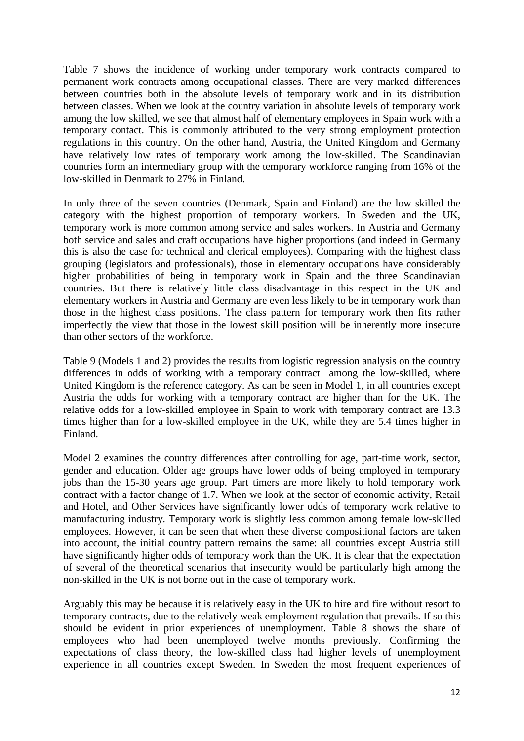Table 7 shows the incidence of working under temporary work contracts compared to permanent work contracts among occupational classes. There are very marked differences between countries both in the absolute levels of temporary work and in its distribution between classes. When we look at the country variation in absolute levels of temporary work among the low skilled, we see that almost half of elementary employees in Spain work with a temporary contact. This is commonly attributed to the very strong employment protection regulations in this country. On the other hand, Austria, the United Kingdom and Germany have relatively low rates of temporary work among the low-skilled. The Scandinavian countries form an intermediary group with the temporary workforce ranging from 16% of the low-skilled in Denmark to 27% in Finland.

In only three of the seven countries (Denmark, Spain and Finland) are the low skilled the category with the highest proportion of temporary workers. In Sweden and the UK, temporary work is more common among service and sales workers. In Austria and Germany both service and sales and craft occupations have higher proportions (and indeed in Germany this is also the case for technical and clerical employees). Comparing with the highest class grouping (legislators and professionals), those in elementary occupations have considerably higher probabilities of being in temporary work in Spain and the three Scandinavian countries. But there is relatively little class disadvantage in this respect in the UK and elementary workers in Austria and Germany are even less likely to be in temporary work than those in the highest class positions. The class pattern for temporary work then fits rather imperfectly the view that those in the lowest skill position will be inherently more insecure than other sectors of the workforce.

Table 9 (Models 1 and 2) provides the results from logistic regression analysis on the country differences in odds of working with a temporary contract among the low-skilled, where United Kingdom is the reference category. As can be seen in Model 1, in all countries except Austria the odds for working with a temporary contract are higher than for the UK. The relative odds for a low-skilled employee in Spain to work with temporary contract are 13.3 times higher than for a low-skilled employee in the UK, while they are 5.4 times higher in Finland.

Model 2 examines the country differences after controlling for age, part-time work, sector, gender and education. Older age groups have lower odds of being employed in temporary jobs than the 15-30 years age group. Part timers are more likely to hold temporary work contract with a factor change of 1.7. When we look at the sector of economic activity, Retail and Hotel, and Other Services have significantly lower odds of temporary work relative to manufacturing industry. Temporary work is slightly less common among female low-skilled employees. However, it can be seen that when these diverse compositional factors are taken into account, the initial country pattern remains the same: all countries except Austria still have significantly higher odds of temporary work than the UK. It is clear that the expectation of several of the theoretical scenarios that insecurity would be particularly high among the non-skilled in the UK is not borne out in the case of temporary work.

Arguably this may be because it is relatively easy in the UK to hire and fire without resort to temporary contracts, due to the relatively weak employment regulation that prevails. If so this should be evident in prior experiences of unemployment. Table 8 shows the share of employees who had been unemployed twelve months previously. Confirming the expectations of class theory, the low-skilled class had higher levels of unemployment experience in all countries except Sweden. In Sweden the most frequent experiences of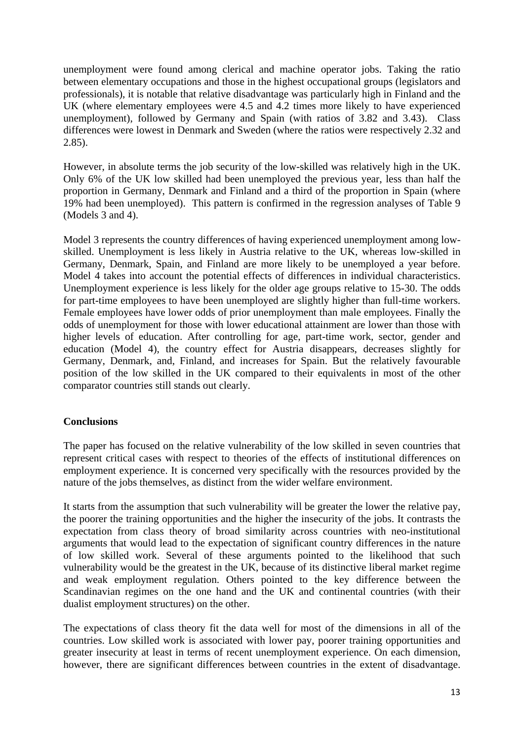unemployment were found among clerical and machine operator jobs. Taking the ratio between elementary occupations and those in the highest occupational groups (legislators and professionals), it is notable that relative disadvantage was particularly high in Finland and the UK (where elementary employees were 4.5 and 4.2 times more likely to have experienced unemployment), followed by Germany and Spain (with ratios of 3.82 and 3.43). Class differences were lowest in Denmark and Sweden (where the ratios were respectively 2.32 and 2.85).

However, in absolute terms the job security of the low-skilled was relatively high in the UK. Only 6% of the UK low skilled had been unemployed the previous year, less than half the proportion in Germany, Denmark and Finland and a third of the proportion in Spain (where 19% had been unemployed). This pattern is confirmed in the regression analyses of Table 9 (Models 3 and 4).

Model 3 represents the country differences of having experienced unemployment among lowskilled. Unemployment is less likely in Austria relative to the UK, whereas low-skilled in Germany, Denmark, Spain, and Finland are more likely to be unemployed a year before. Model 4 takes into account the potential effects of differences in individual characteristics. Unemployment experience is less likely for the older age groups relative to 15-30. The odds for part-time employees to have been unemployed are slightly higher than full-time workers. Female employees have lower odds of prior unemployment than male employees. Finally the odds of unemployment for those with lower educational attainment are lower than those with higher levels of education. After controlling for age, part-time work, sector, gender and education (Model 4), the country effect for Austria disappears, decreases slightly for Germany, Denmark, and, Finland, and increases for Spain. But the relatively favourable position of the low skilled in the UK compared to their equivalents in most of the other comparator countries still stands out clearly.

# **Conclusions**

The paper has focused on the relative vulnerability of the low skilled in seven countries that represent critical cases with respect to theories of the effects of institutional differences on employment experience. It is concerned very specifically with the resources provided by the nature of the jobs themselves, as distinct from the wider welfare environment.

It starts from the assumption that such vulnerability will be greater the lower the relative pay, the poorer the training opportunities and the higher the insecurity of the jobs. It contrasts the expectation from class theory of broad similarity across countries with neo-institutional arguments that would lead to the expectation of significant country differences in the nature of low skilled work. Several of these arguments pointed to the likelihood that such vulnerability would be the greatest in the UK, because of its distinctive liberal market regime and weak employment regulation. Others pointed to the key difference between the Scandinavian regimes on the one hand and the UK and continental countries (with their dualist employment structures) on the other.

The expectations of class theory fit the data well for most of the dimensions in all of the countries. Low skilled work is associated with lower pay, poorer training opportunities and greater insecurity at least in terms of recent unemployment experience. On each dimension, however, there are significant differences between countries in the extent of disadvantage.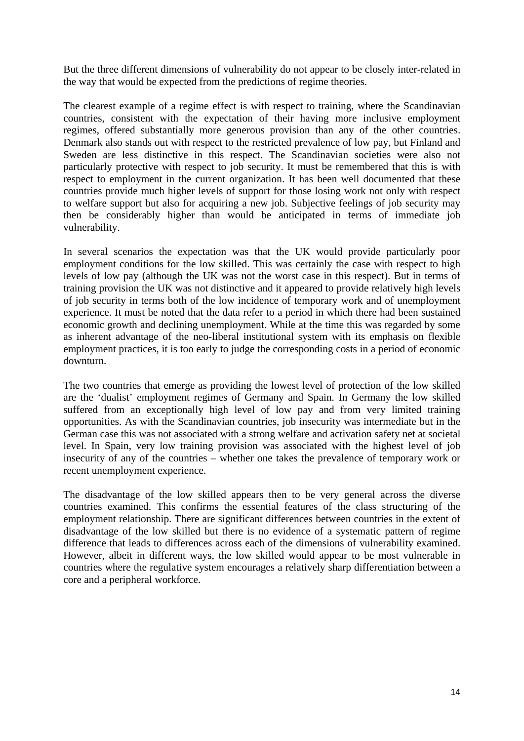But the three different dimensions of vulnerability do not appear to be closely inter-related in the way that would be expected from the predictions of regime theories.

The clearest example of a regime effect is with respect to training, where the Scandinavian countries, consistent with the expectation of their having more inclusive employment regimes, offered substantially more generous provision than any of the other countries. Denmark also stands out with respect to the restricted prevalence of low pay, but Finland and Sweden are less distinctive in this respect. The Scandinavian societies were also not particularly protective with respect to job security. It must be remembered that this is with respect to employment in the current organization. It has been well documented that these countries provide much higher levels of support for those losing work not only with respect to welfare support but also for acquiring a new job. Subjective feelings of job security may then be considerably higher than would be anticipated in terms of immediate job vulnerability.

In several scenarios the expectation was that the UK would provide particularly poor employment conditions for the low skilled. This was certainly the case with respect to high levels of low pay (although the UK was not the worst case in this respect). But in terms of training provision the UK was not distinctive and it appeared to provide relatively high levels of job security in terms both of the low incidence of temporary work and of unemployment experience. It must be noted that the data refer to a period in which there had been sustained economic growth and declining unemployment. While at the time this was regarded by some as inherent advantage of the neo-liberal institutional system with its emphasis on flexible employment practices, it is too early to judge the corresponding costs in a period of economic downturn.

The two countries that emerge as providing the lowest level of protection of the low skilled are the 'dualist' employment regimes of Germany and Spain. In Germany the low skilled suffered from an exceptionally high level of low pay and from very limited training opportunities. As with the Scandinavian countries, job insecurity was intermediate but in the German case this was not associated with a strong welfare and activation safety net at societal level. In Spain, very low training provision was associated with the highest level of job insecurity of any of the countries – whether one takes the prevalence of temporary work or recent unemployment experience.

The disadvantage of the low skilled appears then to be very general across the diverse countries examined. This confirms the essential features of the class structuring of the employment relationship. There are significant differences between countries in the extent of disadvantage of the low skilled but there is no evidence of a systematic pattern of regime difference that leads to differences across each of the dimensions of vulnerability examined. However, albeit in different ways, the low skilled would appear to be most vulnerable in countries where the regulative system encourages a relatively sharp differentiation between a core and a peripheral workforce.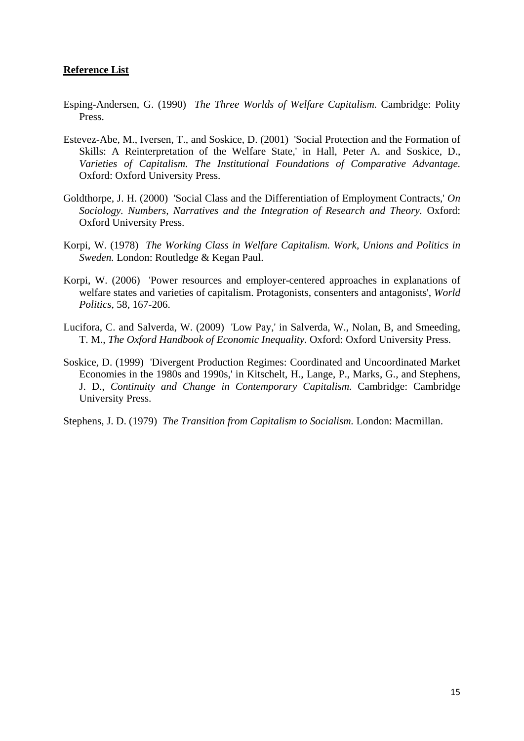#### **Reference List**

- Esping-Andersen, G. (1990) *The Three Worlds of Welfare Capitalism.* Cambridge: Polity Press.
- Estevez-Abe, M., Iversen, T., and Soskice, D. (2001) 'Social Protection and the Formation of Skills: A Reinterpretation of the Welfare State,' in Hall, Peter A. and Soskice, D., *Varieties of Capitalism. The Institutional Foundations of Comparative Advantage.* Oxford: Oxford University Press.
- Goldthorpe, J. H. (2000) 'Social Class and the Differentiation of Employment Contracts,' *On Sociology. Numbers, Narratives and the Integration of Research and Theory.* Oxford: Oxford University Press.
- Korpi, W. (1978) *The Working Class in Welfare Capitalism. Work, Unions and Politics in Sweden.* London: Routledge & Kegan Paul.
- Korpi, W. (2006) 'Power resources and employer-centered approaches in explanations of welfare states and varieties of capitalism. Protagonists, consenters and antagonists', *World Politics*, 58, 167-206.
- Lucifora, C. and Salverda, W. (2009) 'Low Pay,' in Salverda, W., Nolan, B, and Smeeding, T. M., *The Oxford Handbook of Economic Inequality.* Oxford: Oxford University Press.
- Soskice, D. (1999) 'Divergent Production Regimes: Coordinated and Uncoordinated Market Economies in the 1980s and 1990s,' in Kitschelt, H., Lange, P., Marks, G., and Stephens, J. D., *Continuity and Change in Contemporary Capitalism.* Cambridge: Cambridge University Press.

Stephens, J. D. (1979) *The Transition from Capitalism to Socialism.* London: Macmillan.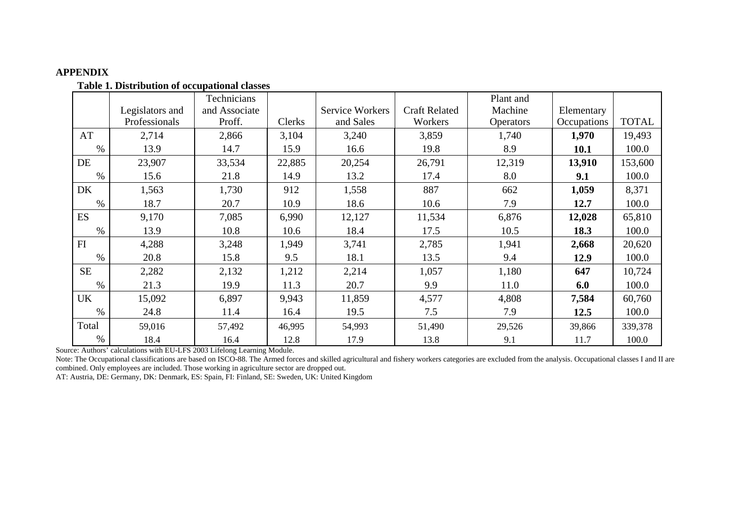#### **APPENDIX**

|           |                 | Technicians   |        |                        |                      | Plant and        |             |              |
|-----------|-----------------|---------------|--------|------------------------|----------------------|------------------|-------------|--------------|
|           | Legislators and | and Associate |        | <b>Service Workers</b> | <b>Craft Related</b> | Machine          | Elementary  |              |
|           | Professionals   | Proff.        | Clerks | and Sales              | Workers              | <b>Operators</b> | Occupations | <b>TOTAL</b> |
| AT        | 2,714           | 2,866         | 3,104  | 3,240                  | 3,859                | 1,740            | 1,970       | 19,493       |
| $\%$      | 13.9            | 14.7          | 15.9   | 16.6                   | 19.8                 | 8.9              | 10.1        | 100.0        |
| DE        | 23,907          | 33,534        | 22,885 | 20,254                 | 26,791               | 12,319           | 13,910      | 153,600      |
| $\%$      | 15.6            | 21.8          | 14.9   | 13.2                   | 17.4                 | 8.0              | 9.1         | 100.0        |
| DK        | 1,563           | 1,730         | 912    | 1,558                  | 887                  | 662              | 1,059       | 8,371        |
| $\%$      | 18.7            | 20.7          | 10.9   | 18.6                   | 10.6                 | 7.9              | 12.7        | 100.0        |
| <b>ES</b> | 9,170           | 7,085         | 6,990  | 12,127                 | 11,534               | 6,876            | 12,028      | 65,810       |
| $\%$      | 13.9            | 10.8          | 10.6   | 18.4                   | 17.5                 | 10.5             | 18.3        | 100.0        |
| FI        | 4,288           | 3,248         | 1,949  | 3,741                  | 2,785                | 1,941            | 2,668       | 20,620       |
| $\%$      | 20.8            | 15.8          | 9.5    | 18.1                   | 13.5                 | 9.4              | 12.9        | 100.0        |
| <b>SE</b> | 2,282           | 2,132         | 1,212  | 2,214                  | 1,057                | 1,180            | 647         | 10,724       |
| $\%$      | 21.3            | 19.9          | 11.3   | 20.7                   | 9.9                  | 11.0             | 6.0         | 100.0        |
| <b>UK</b> | 15,092          | 6,897         | 9,943  | 11,859                 | 4,577                | 4,808            | 7,584       | 60,760       |
| $\%$      | 24.8            | 11.4          | 16.4   | 19.5                   | 7.5                  | 7.9              | 12.5        | 100.0        |
| Total     | 59,016          | 57,492        | 46,995 | 54,993                 | 51,490               | 29,526           | 39,866      | 339,378      |
| $\%$      | 18.4            | 16.4          | 12.8   | 17.9                   | 13.8                 | 9.1              | 11.7        | 100.0        |

**Table 1. Distribution of occupational classes** 

Source: Authors' calculations with EU-LFS 2003 Lifelong Learning Module.

Note: The Occupational classifications are based on ISCO-88. The Armed forces and skilled agricultural and fishery workers categories are excluded from the analysis. Occupational classes I and II are combined. Only employees are included. Those working in agriculture sector are dropped out.

AT: Austria, DE: Germany, DK: Denmark, ES: Spain, FI: Finland, SE: Sweden, UK: United Kingdom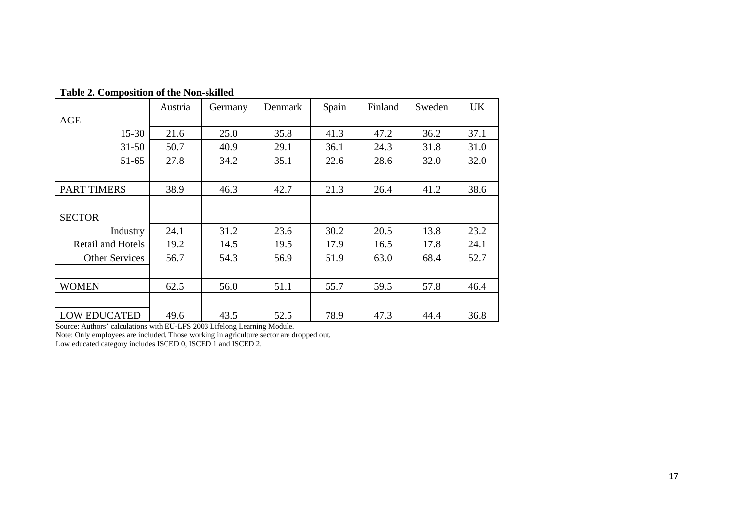|                     | Austria | Germany | Denmark | Spain | Finland | Sweden | UK   |
|---------------------|---------|---------|---------|-------|---------|--------|------|
| <b>AGE</b>          |         |         |         |       |         |        |      |
| $15 - 30$           | 21.6    | 25.0    | 35.8    | 41.3  | 47.2    | 36.2   | 37.1 |
| $31 - 50$           | 50.7    | 40.9    | 29.1    | 36.1  | 24.3    | 31.8   | 31.0 |
| 51-65               | 27.8    | 34.2    | 35.1    | 22.6  | 28.6    | 32.0   | 32.0 |
|                     |         |         |         |       |         |        |      |
| <b>PART TIMERS</b>  | 38.9    | 46.3    | 42.7    | 21.3  | 26.4    | 41.2   | 38.6 |
|                     |         |         |         |       |         |        |      |
| <b>SECTOR</b>       |         |         |         |       |         |        |      |
| Industry            | 24.1    | 31.2    | 23.6    | 30.2  | 20.5    | 13.8   | 23.2 |
| Retail and Hotels   | 19.2    | 14.5    | 19.5    | 17.9  | 16.5    | 17.8   | 24.1 |
| Other Services      | 56.7    | 54.3    | 56.9    | 51.9  | 63.0    | 68.4   | 52.7 |
|                     |         |         |         |       |         |        |      |
| <b>WOMEN</b>        | 62.5    | 56.0    | 51.1    | 55.7  | 59.5    | 57.8   | 46.4 |
|                     |         |         |         |       |         |        |      |
| <b>LOW EDUCATED</b> | 49.6    | 43.5    | 52.5    | 78.9  | 47.3    | 44.4   | 36.8 |

**Table 2. Composition of the Non-skilled** 

Source: Authors' calculations with EU-LFS 2003 Lifelong Learning Module.

Note: Only employees are included. Those working in agriculture sector are dropped out.

Low educated category includes ISCED 0, ISCED 1 and ISCED 2.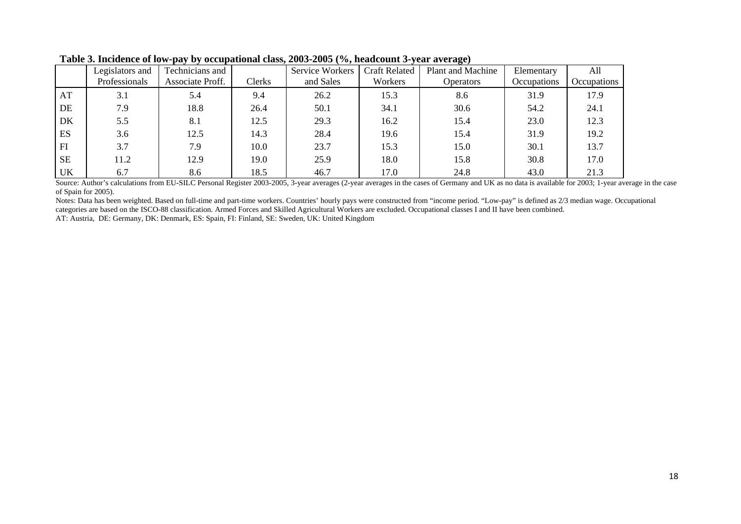|           |                 |                  |        |                 |                      | $\sim$                   |             |                           |
|-----------|-----------------|------------------|--------|-----------------|----------------------|--------------------------|-------------|---------------------------|
|           | Legislators and | Technicians and  |        | Service Workers | <b>Craft Related</b> | <b>Plant and Machine</b> | Elementary  | All                       |
|           | Professionals   | Associate Proff. | Clerks | and Sales       | Workers              | <b>Operators</b>         | Occupations | <i><b>Occupations</b></i> |
| AT        | 3.1             | 5.4              | 9.4    | 26.2            | 15.3                 | 8.6                      | 31.9        | 17.9                      |
| DE        | 7.9             | 18.8             | 26.4   | 50.1            | 34.1                 | 30.6                     | 54.2        | 24.1                      |
| DK        | 5.5             | 8.1              | 12.5   | 29.3            | 16.2                 | 15.4                     | 23.0        | 12.3                      |
| ES        | 3.6             | 12.5             | 14.3   | 28.4            | 19.6                 | 15.4                     | 31.9        | 19.2                      |
| FI        | 3.7             | 7.9              | 10.0   | 23.7            | 15.3                 | 15.0                     | 30.1        | 13.7                      |
| <b>SE</b> | 11.2            | 12.9             | 19.0   | 25.9            | 18.0                 | 15.8                     | 30.8        | 17.0                      |
| UK        | 6.7             | 8.6              | 18.5   | 46.7            | 17.0                 | 24.8                     | 43.0        | 21.3                      |

**Table 3. Incidence of low-pay by occupational class, 2003-2005 (%, headcount 3-year average)** 

Source: Author's calculations from EU-SILC Personal Register 2003-2005, 3-year averages (2-year averages in the cases of Germany and UK as no data is available for 2003; 1-year average in the case of Spain for 2005).

Notes: Data has been weighted. Based on full-time and part-time workers. Countries' hourly pays were constructed from "income period. "Low-pay" is defined as 2/3 median wage. Occupational categories are based on the ISCO-88 classification. Armed Forces and Skilled Agricultural Workers are excluded. Occupational classes I and II have been combined.

AT: Austria, DE: Germany, DK: Denmark, ES: Spain, FI: Finland, SE: Sweden, UK: United Kingdom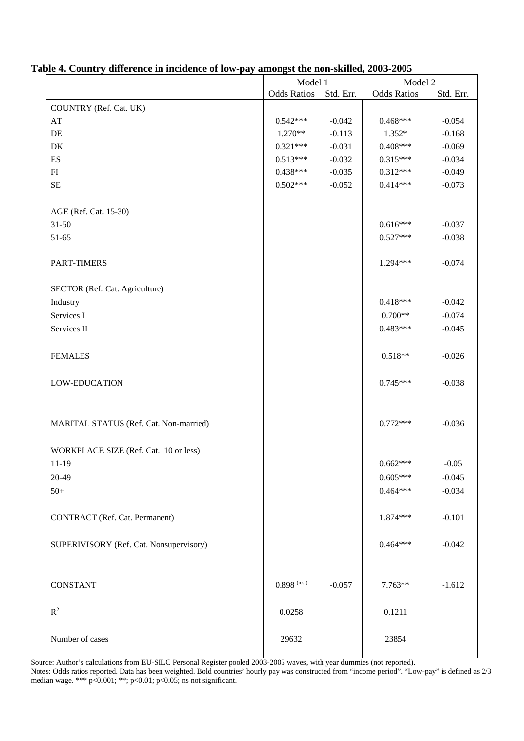|                                         | Model 1            |           | Model 2            |           |  |
|-----------------------------------------|--------------------|-----------|--------------------|-----------|--|
|                                         | <b>Odds Ratios</b> | Std. Err. | <b>Odds Ratios</b> | Std. Err. |  |
| COUNTRY (Ref. Cat. UK)                  |                    |           |                    |           |  |
| AT                                      | $0.542***$         | $-0.042$  | $0.468***$         | $-0.054$  |  |
| $\rm DE$                                | $1.270**$          | $-0.113$  | $1.352*$           | $-0.168$  |  |
| DK                                      | $0.321***$         | $-0.031$  | $0.408***$         | $-0.069$  |  |
| ES                                      | $0.513***$         | $-0.032$  | $0.315***$         | $-0.034$  |  |
| ${\rm FI}$                              | $0.438***$         | $-0.035$  | $0.312***$         | $-0.049$  |  |
| $\rm SE$                                | $0.502***$         | $-0.052$  | $0.414***$         | $-0.073$  |  |
| AGE (Ref. Cat. 15-30)                   |                    |           |                    |           |  |
| $31 - 50$                               |                    |           | $0.616***$         | $-0.037$  |  |
| 51-65                                   |                    |           | $0.527***$         | $-0.038$  |  |
|                                         |                    |           |                    |           |  |
| PART-TIMERS                             |                    |           | $1.294***$         | $-0.074$  |  |
| SECTOR (Ref. Cat. Agriculture)          |                    |           |                    |           |  |
| Industry                                |                    |           | $0.418***$         | $-0.042$  |  |
| Services I                              |                    |           | $0.700**$          | $-0.074$  |  |
| Services II                             |                    |           | $0.483***$         | $-0.045$  |  |
|                                         |                    |           |                    |           |  |
| <b>FEMALES</b>                          |                    |           | $0.518**$          | $-0.026$  |  |
| LOW-EDUCATION                           |                    |           | $0.745***$         | $-0.038$  |  |
| MARITAL STATUS (Ref. Cat. Non-married)  |                    |           | $0.772***$         | $-0.036$  |  |
|                                         |                    |           |                    |           |  |
| WORKPLACE SIZE (Ref. Cat. 10 or less)   |                    |           |                    |           |  |
| 11-19                                   |                    |           | $0.662***$         | $-0.05$   |  |
| 20-49                                   |                    |           | $0.605***$         | $-0.045$  |  |
| $50+$                                   |                    |           | $0.464***$         | $-0.034$  |  |
| CONTRACT (Ref. Cat. Permanent)          |                    |           | 1.874 ***          | $-0.101$  |  |
| SUPERIVISORY (Ref. Cat. Nonsupervisory) |                    |           | $0.464***$         | $-0.042$  |  |
| <b>CONSTANT</b>                         | $0.898$ (n.s.)     | $-0.057$  | $7.763**$          | $-1.612$  |  |
|                                         |                    |           |                    |           |  |
| $R^2$                                   | 0.0258             |           | 0.1211             |           |  |
| Number of cases                         | 29632              |           | 23854              |           |  |

#### **Table 4. Country difference in incidence of low-pay amongst the non-skilled, 2003-2005**

Source: Author's calculations from EU-SILC Personal Register pooled 2003-2005 waves, with year dummies (not reported). Notes: Odds ratios reported. Data has been weighted. Bold countries' hourly pay was constructed from "income period". "Low-pay" is defined as 2/3 median wage. \*\*\* p<0.001; \*\*; p<0.01; p<0.05; ns not significant.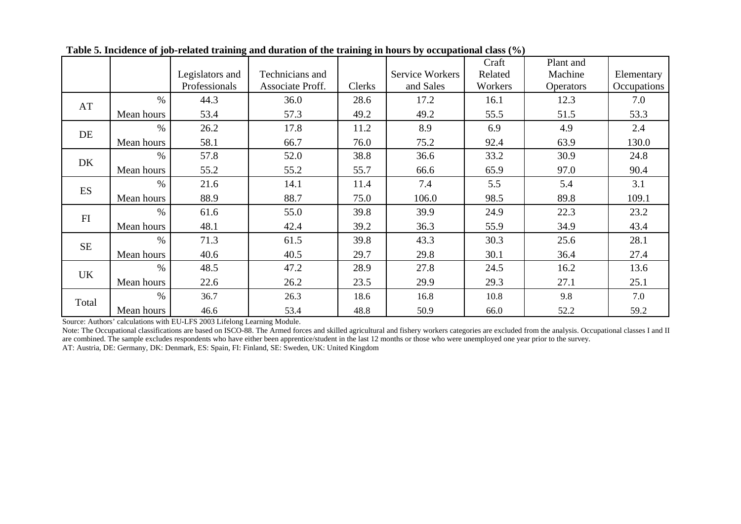|           |            |                 |                  |        |                        | Craft   | Plant and        |             |
|-----------|------------|-----------------|------------------|--------|------------------------|---------|------------------|-------------|
|           |            | Legislators and | Technicians and  |        | <b>Service Workers</b> | Related | Machine          | Elementary  |
|           |            | Professionals   | Associate Proff. | Clerks | and Sales              | Workers | <b>Operators</b> | Occupations |
| AT        | $\%$       | 44.3            | 36.0             | 28.6   | 17.2                   | 16.1    | 12.3             | 7.0         |
|           | Mean hours | 53.4            | 57.3             | 49.2   | 49.2                   | 55.5    | 51.5             | 53.3        |
| DE        | $\%$       | 26.2            | 17.8             | 11.2   | 8.9                    | 6.9     | 4.9              | 2.4         |
|           | Mean hours | 58.1            | 66.7             | 76.0   | 75.2                   | 92.4    | 63.9             | 130.0       |
|           | $\%$       | 57.8            | 52.0             | 38.8   | 36.6                   | 33.2    | 30.9             | 24.8        |
| DK        | Mean hours | 55.2            | 55.2             | 55.7   | 66.6                   | 65.9    | 97.0             | 90.4        |
| <b>ES</b> | $\%$       | 21.6            | 14.1             | 11.4   | 7.4                    | 5.5     | 5.4              | 3.1         |
|           | Mean hours | 88.9            | 88.7             | 75.0   | 106.0                  | 98.5    | 89.8             | 109.1       |
| FI        | $\%$       | 61.6            | 55.0             | 39.8   | 39.9                   | 24.9    | 22.3             | 23.2        |
|           | Mean hours | 48.1            | 42.4             | 39.2   | 36.3                   | 55.9    | 34.9             | 43.4        |
| <b>SE</b> | $\%$       | 71.3            | 61.5             | 39.8   | 43.3                   | 30.3    | 25.6             | 28.1        |
|           | Mean hours | 40.6            | 40.5             | 29.7   | 29.8                   | 30.1    | 36.4             | 27.4        |
| UK        | $\%$       | 48.5            | 47.2             | 28.9   | 27.8                   | 24.5    | 16.2             | 13.6        |
|           | Mean hours | 22.6            | 26.2             | 23.5   | 29.9                   | 29.3    | 27.1             | 25.1        |
| Total     | $\%$       | 36.7            | 26.3             | 18.6   | 16.8                   | 10.8    | 9.8              | 7.0         |
|           | Mean hours | 46.6            | 53.4             | 48.8   | 50.9                   | 66.0    | 52.2             | 59.2        |

**Table 5. Incidence of job-related training and duration of the training in hours by occupational class (%)** 

Source: Authors' calculations with EU-LFS 2003 Lifelong Learning Module.

Note: The Occupational classifications are based on ISCO-88. The Armed forces and skilled agricultural and fishery workers categories are excluded from the analysis. Occupational classes I and II are combined. The sample excludes respondents who have either been apprentice/student in the last 12 months or those who were unemployed one year prior to the survey. AT: Austria, DE: Germany, DK: Denmark, ES: Spain, FI: Finland, SE: Sweden, UK: United Kingdom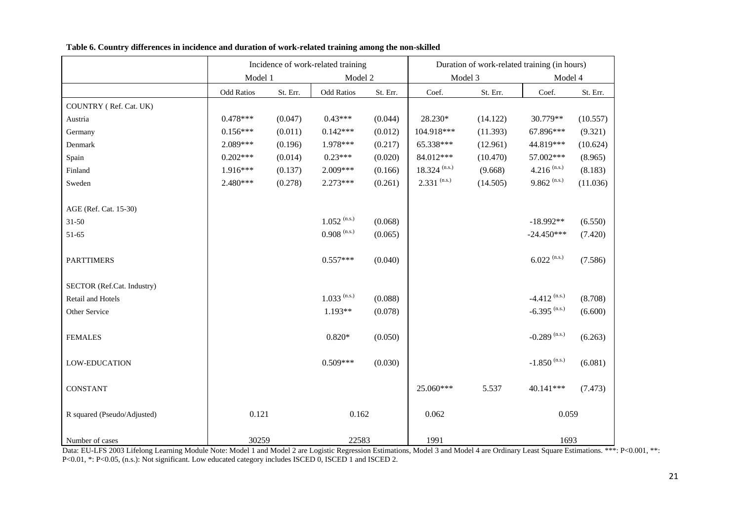|                             |                   |          | Incidence of work-related training |                | Duration of work-related training (in hours) |          |                            |          |
|-----------------------------|-------------------|----------|------------------------------------|----------------|----------------------------------------------|----------|----------------------------|----------|
|                             | Model 1           |          | Model 2                            |                | Model 3                                      |          | Model 4                    |          |
|                             | <b>Odd Ratios</b> | St. Err. | <b>Odd Ratios</b>                  | $\rm St.$ Err. | Coef.                                        | St. Err. | Coef.                      | St. Err. |
| COUNTRY (Ref. Cat. UK)      |                   |          |                                    |                |                                              |          |                            |          |
| Austria                     | $0.478***$        | (0.047)  | $0.43***$                          | (0.044)        | 28.230*                                      | (14.122) | 30.779**                   | (10.557) |
| Germany                     | $0.156***$        | (0.011)  | $0.142***$                         | (0.012)        | 104.918***                                   | (11.393) | 67.896***                  | (9.321)  |
| Denmark                     | 2.089***          | (0.196)  | 1.978***                           | (0.217)        | 65.338***                                    | (12.961) | 44.819***                  | (10.624) |
| Spain                       | $0.202***$        | (0.014)  | $0.23***$                          | (0.020)        | 84.012***                                    | (10.470) | 57.002***                  | (8.965)  |
| Finland                     | 1.916***          | (0.137)  | $2.009***$                         | (0.166)        | $18.324$ (n.s.)                              | (9.668)  | 4.216 $^{(n.s.)}$          | (8.183)  |
| Sweden                      | $2.480***$        | (0.278)  | $2.273***$                         | (0.261)        | $2.331$ (n.s.)                               | (14.505) | $9.862$ <sup>(n.s.)</sup>  | (11.036) |
|                             |                   |          |                                    |                |                                              |          |                            |          |
| AGE (Ref. Cat. 15-30)       |                   |          |                                    |                |                                              |          |                            |          |
| $31 - 50$                   |                   |          | $1.052$ (n.s.)                     | (0.068)        |                                              |          | $-18.992**$                | (6.550)  |
| 51-65                       |                   |          | $0.908$ (n.s.)                     | (0.065)        |                                              |          | $-24.450***$               | (7.420)  |
|                             |                   |          |                                    |                |                                              |          |                            |          |
| <b>PARTTIMERS</b>           |                   |          | $0.557***$                         | (0.040)        |                                              |          | $6.022$ (n.s.)             | (7.586)  |
|                             |                   |          |                                    |                |                                              |          |                            |          |
| SECTOR (Ref.Cat. Industry)  |                   |          |                                    |                |                                              |          |                            |          |
| Retail and Hotels           |                   |          | $1.033$ (n.s.)                     | (0.088)        |                                              |          | $-4.412$ <sup>(n.s.)</sup> | (8.708)  |
| Other Service               |                   |          | $1.193**$                          | (0.078)        |                                              |          | $-6.395$ <sup>(n.s.)</sup> | (6.600)  |
|                             |                   |          |                                    |                |                                              |          |                            |          |
| <b>FEMALES</b>              |                   |          | $0.820*$                           | (0.050)        |                                              |          | $-0.289$ (n.s.)            | (6.263)  |
|                             |                   |          |                                    |                |                                              |          |                            |          |
| <b>LOW-EDUCATION</b>        |                   |          | $0.509***$                         | (0.030)        |                                              |          | $-1.850$ (n.s.)            | (6.081)  |
|                             |                   |          |                                    |                |                                              |          |                            |          |
| <b>CONSTANT</b>             |                   |          |                                    |                | 25.060***                                    | 5.537    | 40.141***                  | (7.473)  |
|                             |                   |          |                                    |                |                                              |          |                            |          |
| R squared (Pseudo/Adjusted) | 0.121             |          | 0.162                              |                | 0.062                                        |          | 0.059                      |          |
|                             |                   |          |                                    |                |                                              |          |                            |          |
| Number of cases             | 30259             |          | 22583                              |                | 1991                                         |          | 1693                       |          |

**Table 6. Country differences in incidence and duration of work-related training among the non-skilled** 

Data: EU-LFS 2003 Lifelong Learning Module Note: Model 1 and Model 2 are Logistic Regression Estimations, Model 3 and Model 4 are Ordinary Least Square Estimations. \*\*\*: P<0.001, \*\*: P<0.01, \*: P<0.05, (n.s.): Not significant. Low educated category includes ISCED 0, ISCED 1 and ISCED 2.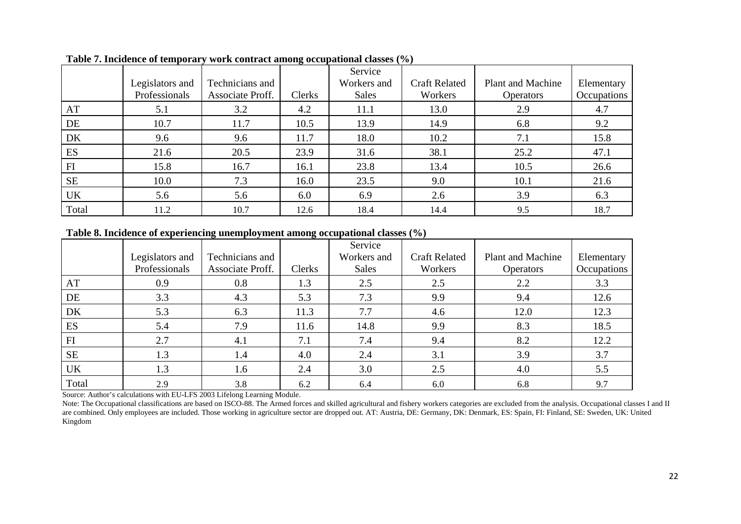|           |                                  |                                     |        | Service                     |                                 |                                              |                           |
|-----------|----------------------------------|-------------------------------------|--------|-----------------------------|---------------------------------|----------------------------------------------|---------------------------|
|           | Legislators and<br>Professionals | Technicians and<br>Associate Proff. | Clerks | Workers and<br><b>Sales</b> | <b>Craft Related</b><br>Workers | <b>Plant and Machine</b><br><b>Operators</b> | Elementary<br>Occupations |
| AT        | 5.1                              | 3.2                                 | 4.2    | 11.1                        | 13.0                            | 2.9                                          | 4.7                       |
| DE        | 10.7                             | 11.7                                | 10.5   | 13.9                        | 14.9                            | 6.8                                          | 9.2                       |
| DK        | 9.6                              | 9.6                                 | 11.7   | 18.0                        | 10.2                            | 7.1                                          | 15.8                      |
| ES        | 21.6                             | 20.5                                | 23.9   | 31.6                        | 38.1                            | 25.2                                         | 47.1                      |
| FI        | 15.8                             | 16.7                                | 16.1   | 23.8                        | 13.4                            | 10.5                                         | 26.6                      |
| <b>SE</b> | 10.0                             | 7.3                                 | 16.0   | 23.5                        | 9.0                             | 10.1                                         | 21.6                      |
| UK        | 5.6                              | 5.6                                 | 6.0    | 6.9                         | 2.6                             | 3.9                                          | 6.3                       |
| Total     | 11.2                             | 10.7                                | 12.6   | 18.4                        | 14.4                            | 9.5                                          | 18.7                      |

**Table 7. Incidence of temporary work contract among occupational classes (%)** 

#### **Table 8. Incidence of experiencing unemployment among occupational classes (%)**

|           | Legislators and | Technicians and  |        | Service<br>Workers and | <b>Craft Related</b> | Plant and Machine | Elementary  |
|-----------|-----------------|------------------|--------|------------------------|----------------------|-------------------|-------------|
|           | Professionals   | Associate Proff. | Clerks | <b>Sales</b>           | Workers              | <b>Operators</b>  | Occupations |
| AT        | 0.9             | 0.8              | 1.3    | 2.5                    | 2.5                  | 2.2               | 3.3         |
| DE        | 3.3             | 4.3              | 5.3    | 7.3                    | 9.9                  | 9.4               | 12.6        |
| DK        | 5.3             | 6.3              | 11.3   | 7.7                    | 4.6                  | 12.0              | 12.3        |
| ES        | 5.4             | 7.9              | 11.6   | 14.8                   | 9.9                  | 8.3               | 18.5        |
| H         | 2.7             | 4.1              | 7.1    | 7.4                    | 9.4                  | 8.2               | 12.2        |
| <b>SE</b> | 1.3             | 1.4              | 4.0    | 2.4                    | 3.1                  | 3.9               | 3.7         |
| <b>UK</b> | 1.3             | 1.6              | 2.4    | 3.0                    | 2.5                  | 4.0               | 5.5         |
| Total     | 2.9             | 3.8              | 6.2    | 6.4                    | 6.0                  | 6.8               | 9.7         |

Source: Author's calculations with EU-LFS 2003 Lifelong Learning Module.

Note: The Occupational classifications are based on ISCO-88. The Armed forces and skilled agricultural and fishery workers categories are excluded from the analysis. Occupational classes I and II are combined. Only employees are included. Those working in agriculture sector are dropped out. AT: Austria, DE: Germany, DK: Denmark, ES: Spain, FI: Finland, SE: Sweden, UK: United Kingdom